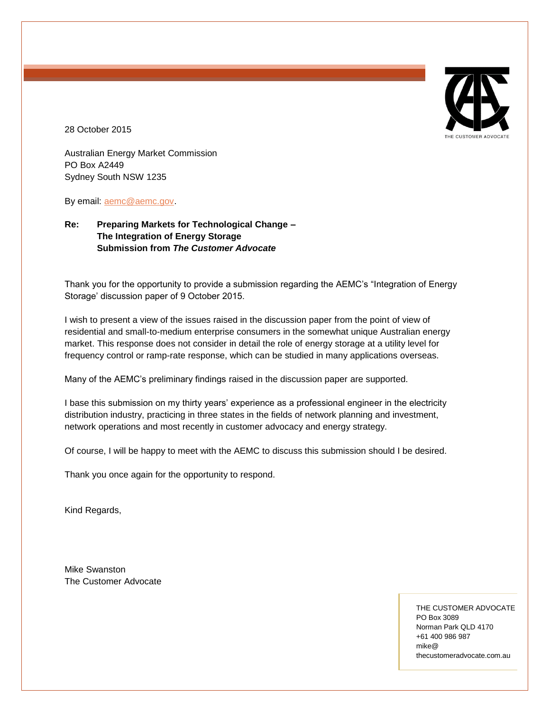

28 October 2015

Australian Energy Market Commission PO Box A2449 Sydney South NSW 1235

By email: [aemc@aemc.gov.](mailto:aemc@aemc.gov)

# **Re: Preparing Markets for Technological Change – The Integration of Energy Storage Submission from** *The Customer Advocate*

Thank you for the opportunity to provide a submission regarding the AEMC's "Integration of Energy Storage' discussion paper of 9 October 2015.

I wish to present a view of the issues raised in the discussion paper from the point of view of residential and small-to-medium enterprise consumers in the somewhat unique Australian energy market. This response does not consider in detail the role of energy storage at a utility level for frequency control or ramp-rate response, which can be studied in many applications overseas.

Many of the AEMC's preliminary findings raised in the discussion paper are supported.

I base this submission on my thirty years' experience as a professional engineer in the electricity distribution industry, practicing in three states in the fields of network planning and investment, network operations and most recently in customer advocacy and energy strategy.

Of course, I will be happy to meet with the AEMC to discuss this submission should I be desired.

Thank you once again for the opportunity to respond.

Kind Regards,

Mike Swanston The Customer Advocate

> THE CUSTOMER ADVOCATE PO Box 3089 Norman Park QLD 4170 +61 400 986 987 mike@ thecustomeradvocate.com.au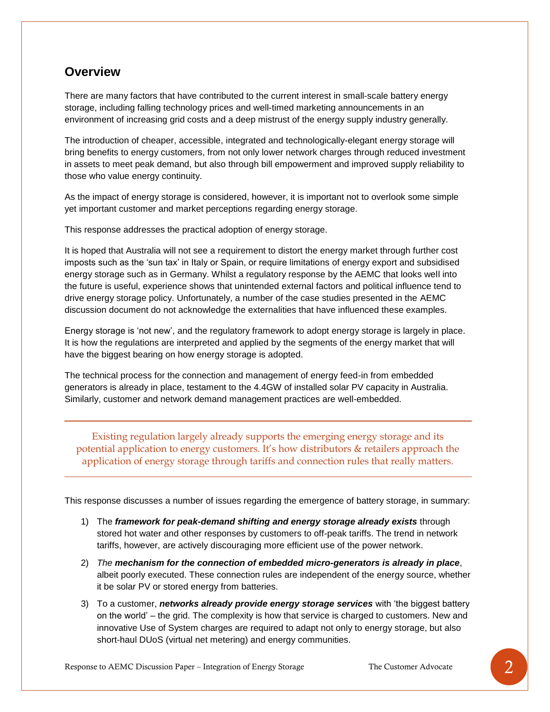# **Overview**

There are many factors that have contributed to the current interest in small-scale battery energy storage, including falling technology prices and well-timed marketing announcements in an environment of increasing grid costs and a deep mistrust of the energy supply industry generally.

The introduction of cheaper, accessible, integrated and technologically-elegant energy storage will bring benefits to energy customers, from not only lower network charges through reduced investment in assets to meet peak demand, but also through bill empowerment and improved supply reliability to those who value energy continuity.

As the impact of energy storage is considered, however, it is important not to overlook some simple yet important customer and market perceptions regarding energy storage.

This response addresses the practical adoption of energy storage.

It is hoped that Australia will not see a requirement to distort the energy market through further cost imposts such as the 'sun tax' in Italy or Spain, or require limitations of energy export and subsidised energy storage such as in Germany. Whilst a regulatory response by the AEMC that looks well into the future is useful, experience shows that unintended external factors and political influence tend to drive energy storage policy. Unfortunately, a number of the case studies presented in the AEMC discussion document do not acknowledge the externalities that have influenced these examples.

Energy storage is 'not new', and the regulatory framework to adopt energy storage is largely in place. It is how the regulations are interpreted and applied by the segments of the energy market that will have the biggest bearing on how energy storage is adopted.

The technical process for the connection and management of energy feed-in from embedded generators is already in place, testament to the 4.4GW of installed solar PV capacity in Australia. Similarly, customer and network demand management practices are well-embedded.

Existing regulation largely already supports the emerging energy storage and its potential application to energy customers. It's how distributors & retailers approach the application of energy storage through tariffs and connection rules that really matters.

This response discusses a number of issues regarding the emergence of battery storage, in summary:

- 1) The *framework for peak-demand shifting and energy storage already exists* through stored hot water and other responses by customers to off-peak tariffs. The trend in network tariffs, however, are actively discouraging more efficient use of the power network.
- 2) *The mechanism for the connection of embedded micro-generators is already in place*, albeit poorly executed. These connection rules are independent of the energy source, whether it be solar PV or stored energy from batteries.
- 3) To a customer, *networks already provide energy storage services* with 'the biggest battery on the world' – the grid. The complexity is how that service is charged to customers. New and innovative Use of System charges are required to adapt not only to energy storage, but also short-haul DUoS (virtual net metering) and energy communities.

Response to AEMC Discussion Paper – Integration of Energy Storage The Customer Advocate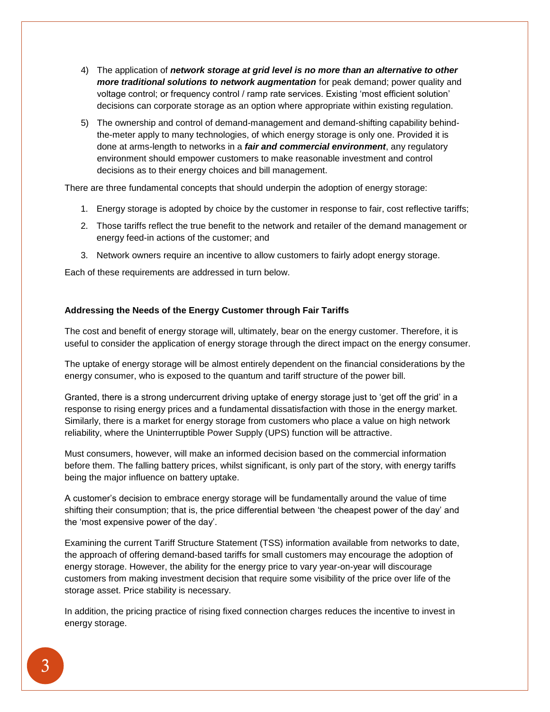- 4) The application of *network storage at grid level is no more than an alternative to other more traditional solutions to network augmentation* for peak demand; power quality and voltage control; or frequency control / ramp rate services. Existing 'most efficient solution' decisions can corporate storage as an option where appropriate within existing regulation.
- 5) The ownership and control of demand-management and demand-shifting capability behindthe-meter apply to many technologies, of which energy storage is only one. Provided it is done at arms-length to networks in a *fair and commercial environment*, any regulatory environment should empower customers to make reasonable investment and control decisions as to their energy choices and bill management.

There are three fundamental concepts that should underpin the adoption of energy storage:

- 1. Energy storage is adopted by choice by the customer in response to fair, cost reflective tariffs;
- 2. Those tariffs reflect the true benefit to the network and retailer of the demand management or energy feed-in actions of the customer; and
- 3. Network owners require an incentive to allow customers to fairly adopt energy storage.

Each of these requirements are addressed in turn below.

# **Addressing the Needs of the Energy Customer through Fair Tariffs**

The cost and benefit of energy storage will, ultimately, bear on the energy customer. Therefore, it is useful to consider the application of energy storage through the direct impact on the energy consumer.

The uptake of energy storage will be almost entirely dependent on the financial considerations by the energy consumer, who is exposed to the quantum and tariff structure of the power bill.

Granted, there is a strong undercurrent driving uptake of energy storage just to 'get off the grid' in a response to rising energy prices and a fundamental dissatisfaction with those in the energy market. Similarly, there is a market for energy storage from customers who place a value on high network reliability, where the Uninterruptible Power Supply (UPS) function will be attractive.

Must consumers, however, will make an informed decision based on the commercial information before them. The falling battery prices, whilst significant, is only part of the story, with energy tariffs being the major influence on battery uptake.

A customer's decision to embrace energy storage will be fundamentally around the value of time shifting their consumption; that is, the price differential between 'the cheapest power of the day' and the 'most expensive power of the day'.

Examining the current Tariff Structure Statement (TSS) information available from networks to date, the approach of offering demand-based tariffs for small customers may encourage the adoption of energy storage. However, the ability for the energy price to vary year-on-year will discourage customers from making investment decision that require some visibility of the price over life of the storage asset. Price stability is necessary.

In addition, the pricing practice of rising fixed connection charges reduces the incentive to invest in energy storage.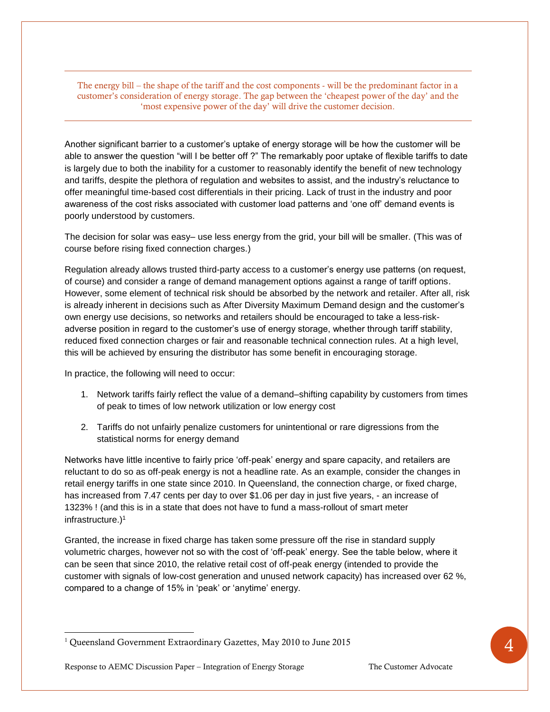The energy bill – the shape of the tariff and the cost components - will be the predominant factor in a customer's consideration of energy storage. The gap between the 'cheapest power of the day' and the 'most expensive power of the day' will drive the customer decision.

Another significant barrier to a customer's uptake of energy storage will be how the customer will be able to answer the question "will I be better off ?" The remarkably poor uptake of flexible tariffs to date is largely due to both the inability for a customer to reasonably identify the benefit of new technology and tariffs, despite the plethora of regulation and websites to assist, and the industry's reluctance to offer meaningful time-based cost differentials in their pricing. Lack of trust in the industry and poor awareness of the cost risks associated with customer load patterns and 'one off' demand events is poorly understood by customers.

The decision for solar was easy– use less energy from the grid, your bill will be smaller. (This was of course before rising fixed connection charges.)

Regulation already allows trusted third-party access to a customer's energy use patterns (on request, of course) and consider a range of demand management options against a range of tariff options. However, some element of technical risk should be absorbed by the network and retailer. After all, risk is already inherent in decisions such as After Diversity Maximum Demand design and the customer's own energy use decisions, so networks and retailers should be encouraged to take a less-riskadverse position in regard to the customer's use of energy storage, whether through tariff stability, reduced fixed connection charges or fair and reasonable technical connection rules. At a high level, this will be achieved by ensuring the distributor has some benefit in encouraging storage.

In practice, the following will need to occur:

- 1. Network tariffs fairly reflect the value of a demand–shifting capability by customers from times of peak to times of low network utilization or low energy cost
- 2. Tariffs do not unfairly penalize customers for unintentional or rare digressions from the statistical norms for energy demand

Networks have little incentive to fairly price 'off-peak' energy and spare capacity, and retailers are reluctant to do so as off-peak energy is not a headline rate. As an example, consider the changes in retail energy tariffs in one state since 2010. In Queensland, the connection charge, or fixed charge, has increased from 7.47 cents per day to over \$1.06 per day in just five years, - an increase of 1323% ! (and this is in a state that does not have to fund a mass-rollout of smart meter infrastructure.)<sup>1</sup>

Granted, the increase in fixed charge has taken some pressure off the rise in standard supply volumetric charges, however not so with the cost of 'off-peak' energy. See the table below, where it can be seen that since 2010, the relative retail cost of off-peak energy (intended to provide the customer with signals of low-cost generation and unused network capacity) has increased over 62 %, compared to a change of 15% in 'peak' or 'anytime' energy.

<sup>&</sup>lt;sup>1</sup> Queensland Government Extraordinary Gazettes, May 2010 to June 2015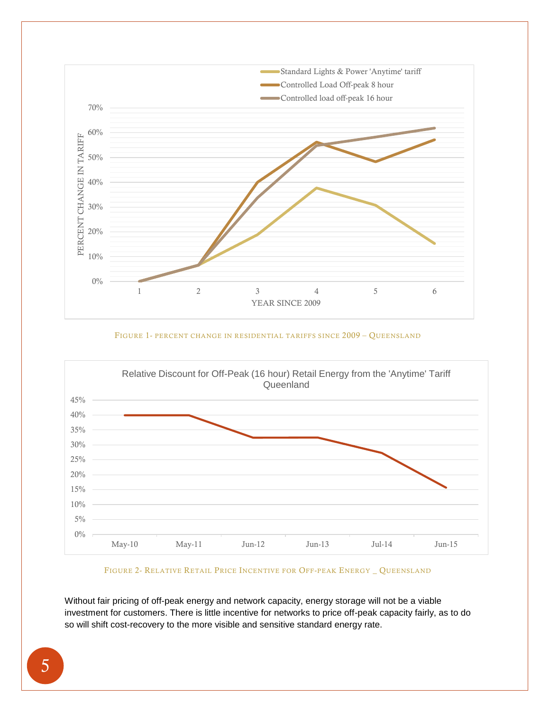

FIGURE 1- PERCENT CHANGE IN RESIDENTIAL TARIFFS SINCE 2009 – QUEENSLAND



FIGURE 2- RELATIVE RETAIL PRICE INCENTIVE FOR OFF-PEAK ENERGY \_ QUEENSLAND

Without fair pricing of off-peak energy and network capacity, energy storage will not be a viable investment for customers. There is little incentive for networks to price off-peak capacity fairly, as to do so will shift cost-recovery to the more visible and sensitive standard energy rate.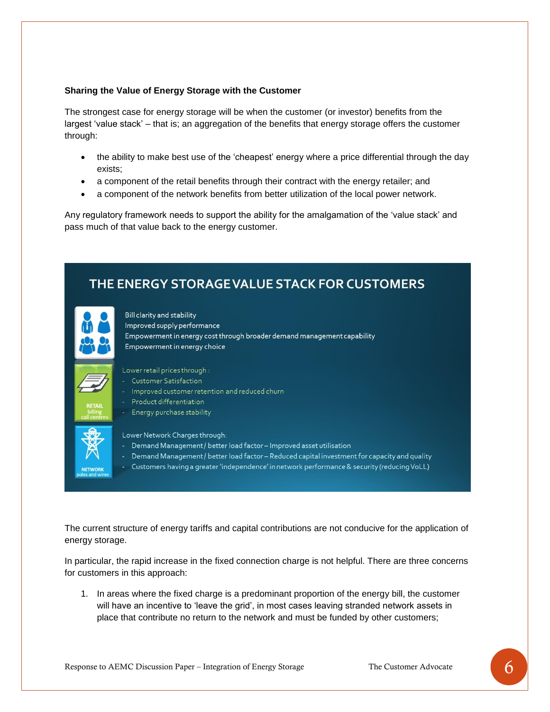#### **Sharing the Value of Energy Storage with the Customer**

The strongest case for energy storage will be when the customer (or investor) benefits from the largest 'value stack' – that is; an aggregation of the benefits that energy storage offers the customer through:

- the ability to make best use of the 'cheapest' energy where a price differential through the day exists;
- a component of the retail benefits through their contract with the energy retailer; and
- a component of the network benefits from better utilization of the local power network.

Any regulatory framework needs to support the ability for the amalgamation of the 'value stack' and pass much of that value back to the energy customer.



The current structure of energy tariffs and capital contributions are not conducive for the application of energy storage.

In particular, the rapid increase in the fixed connection charge is not helpful. There are three concerns for customers in this approach:

1. In areas where the fixed charge is a predominant proportion of the energy bill, the customer will have an incentive to 'leave the grid', in most cases leaving stranded network assets in place that contribute no return to the network and must be funded by other customers;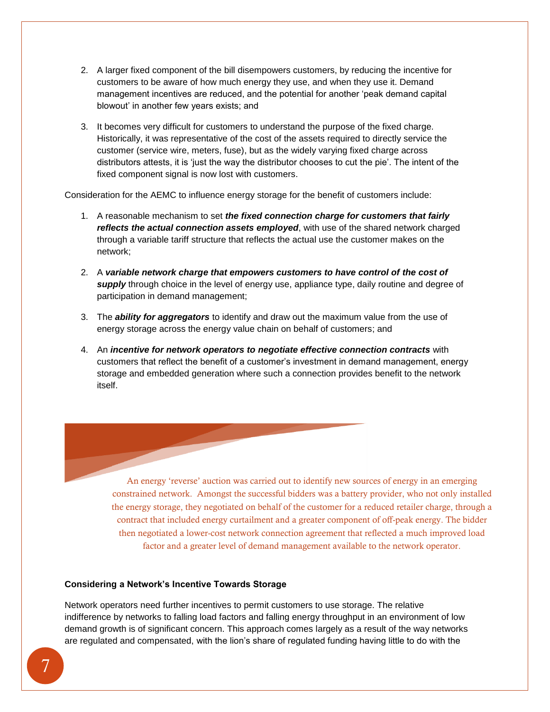- 2. A larger fixed component of the bill disempowers customers, by reducing the incentive for customers to be aware of how much energy they use, and when they use it. Demand management incentives are reduced, and the potential for another 'peak demand capital blowout' in another few years exists; and
- 3. It becomes very difficult for customers to understand the purpose of the fixed charge. Historically, it was representative of the cost of the assets required to directly service the customer (service wire, meters, fuse), but as the widely varying fixed charge across distributors attests, it is 'just the way the distributor chooses to cut the pie'. The intent of the fixed component signal is now lost with customers.

Consideration for the AEMC to influence energy storage for the benefit of customers include:

- 1. A reasonable mechanism to set *the fixed connection charge for customers that fairly reflects the actual connection assets employed*, with use of the shared network charged through a variable tariff structure that reflects the actual use the customer makes on the network;
- 2. A *variable network charge that empowers customers to have control of the cost of supply* through choice in the level of energy use, appliance type, daily routine and degree of participation in demand management;
- 3. The *ability for aggregators* to identify and draw out the maximum value from the use of energy storage across the energy value chain on behalf of customers; and
- 4. An *incentive for network operators to negotiate effective connection contracts* with customers that reflect the benefit of a customer's investment in demand management, energy storage and embedded generation where such a connection provides benefit to the network itself.

An energy 'reverse' auction was carried out to identify new sources of energy in an emerging constrained network. Amongst the successful bidders was a battery provider, who not only installed the energy storage, they negotiated on behalf of the customer for a reduced retailer charge, through a contract that included energy curtailment and a greater component of off-peak energy. The bidder then negotiated a lower-cost network connection agreement that reflected a much improved load factor and a greater level of demand management available to the network operator.

## **Considering a Network's Incentive Towards Storage**

Network operators need further incentives to permit customers to use storage. The relative indifference by networks to falling load factors and falling energy throughput in an environment of low demand growth is of significant concern. This approach comes largely as a result of the way networks are regulated and compensated, with the lion's share of regulated funding having little to do with the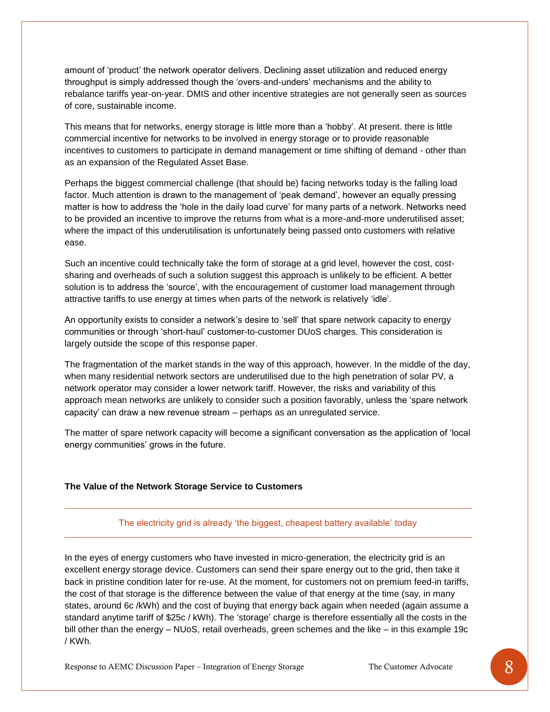amount of 'product' the network operator delivers. Declining asset utilization and reduced energy throughput is simply addressed though the 'overs-and-unders' mechanisms and the ability to rebalance tariffs year-on-year. DMIS and other incentive strategies are not generally seen as sources of core, sustainable income.

This means that for networks, energy storage is little more than a 'hobby'. At present. there is little commercial incentive for networks to be involved in energy storage or to provide reasonable incentives to customers to participate in demand management or time shifting of demand - other than as an expansion of the Regulated Asset Base.

Perhaps the biggest commercial challenge (that should be) facing networks today is the falling load factor. Much attention is drawn to the management of 'peak demand', however an equally pressing matter is how to address the 'hole in the daily load curve' for many parts of a network. Networks need to be provided an incentive to improve the returns from what is a more-and-more underutilised asset; where the impact of this underutilisation is unfortunately being passed onto customers with relative ease.

Such an incentive could technically take the form of storage at a grid level, however the cost, costsharing and overheads of such a solution suggest this approach is unlikely to be efficient. A better solution is to address the 'source', with the encouragement of customer load management through attractive tariffs to use energy at times when parts of the network is relatively 'idle'.

An opportunity exists to consider a network's desire to 'sell' that spare network capacity to energy communities or through 'short-haul' customer-to-customer DUoS charges. This consideration is largely outside the scope of this response paper.

The fragmentation of the market stands in the way of this approach, however. In the middle of the day, when many residential network sectors are underutilised due to the high penetration of solar PV, a network operator may consider a lower network tariff. However, the risks and variability of this approach mean networks are unlikely to consider such a position favorably, unless the 'spare network capacity' can draw a new revenue stream – perhaps as an unregulated service.

The matter of spare network capacity will become a significant conversation as the application of 'local energy communities' grows in the future.

## **The Value of the Network Storage Service to Customers**

#### The electricity grid is already 'the biggest, cheapest battery available' today

In the eyes of energy customers who have invested in micro-generation, the electricity grid is an excellent energy storage device. Customers can send their spare energy out to the grid, then take it back in pristine condition later for re-use. At the moment, for customers not on premium feed-in tariffs, the cost of that storage is the difference between the value of that energy at the time (say, in many states, around 6c /kWh) and the cost of buying that energy back again when needed (again assume a standard anytime tariff of \$25c / kWh). The 'storage' charge is therefore essentially all the costs in the bill other than the energy – NUoS, retail overheads, green schemes and the like – in this example 19c / KWh.

Response to AEMC Discussion Paper – Integration of Energy Storage The Customer Advocate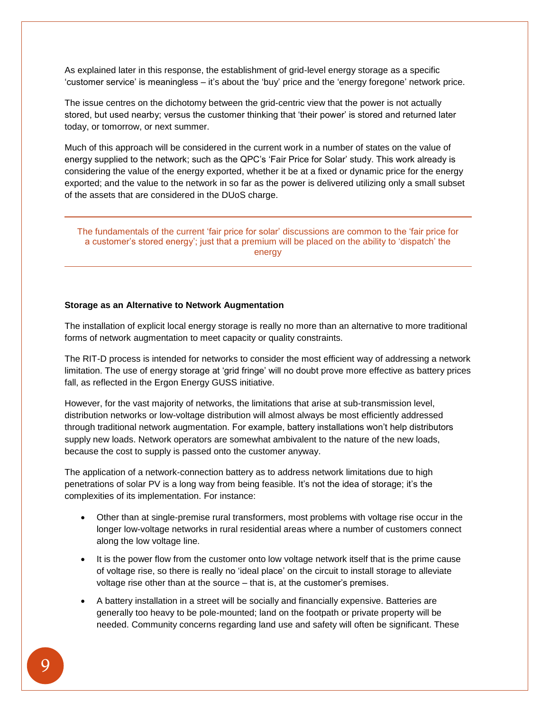As explained later in this response, the establishment of grid-level energy storage as a specific 'customer service' is meaningless – it's about the 'buy' price and the 'energy foregone' network price.

The issue centres on the dichotomy between the grid-centric view that the power is not actually stored, but used nearby; versus the customer thinking that 'their power' is stored and returned later today, or tomorrow, or next summer.

Much of this approach will be considered in the current work in a number of states on the value of energy supplied to the network; such as the QPC's 'Fair Price for Solar' study. This work already is considering the value of the energy exported, whether it be at a fixed or dynamic price for the energy exported; and the value to the network in so far as the power is delivered utilizing only a small subset of the assets that are considered in the DUoS charge.

The fundamentals of the current 'fair price for solar' discussions are common to the 'fair price for a customer's stored energy'; just that a premium will be placed on the ability to 'dispatch' the energy

#### **Storage as an Alternative to Network Augmentation**

The installation of explicit local energy storage is really no more than an alternative to more traditional forms of network augmentation to meet capacity or quality constraints.

The RIT-D process is intended for networks to consider the most efficient way of addressing a network limitation. The use of energy storage at 'grid fringe' will no doubt prove more effective as battery prices fall, as reflected in the Ergon Energy GUSS initiative.

However, for the vast majority of networks, the limitations that arise at sub-transmission level, distribution networks or low-voltage distribution will almost always be most efficiently addressed through traditional network augmentation. For example, battery installations won't help distributors supply new loads. Network operators are somewhat ambivalent to the nature of the new loads, because the cost to supply is passed onto the customer anyway.

The application of a network-connection battery as to address network limitations due to high penetrations of solar PV is a long way from being feasible. It's not the idea of storage; it's the complexities of its implementation. For instance:

- Other than at single-premise rural transformers, most problems with voltage rise occur in the longer low-voltage networks in rural residential areas where a number of customers connect along the low voltage line.
- It is the power flow from the customer onto low voltage network itself that is the prime cause of voltage rise, so there is really no 'ideal place' on the circuit to install storage to alleviate voltage rise other than at the source – that is, at the customer's premises.
- A battery installation in a street will be socially and financially expensive. Batteries are generally too heavy to be pole-mounted; land on the footpath or private property will be needed. Community concerns regarding land use and safety will often be significant. These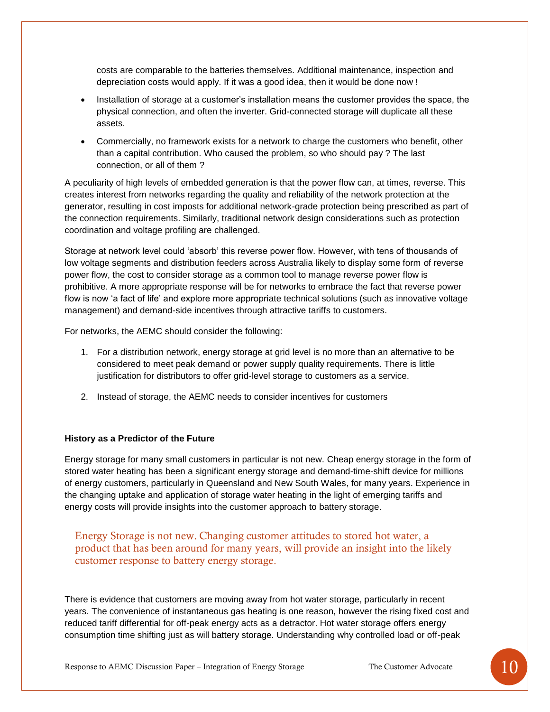costs are comparable to the batteries themselves. Additional maintenance, inspection and depreciation costs would apply. If it was a good idea, then it would be done now !

- Installation of storage at a customer's installation means the customer provides the space, the physical connection, and often the inverter. Grid-connected storage will duplicate all these assets.
- Commercially, no framework exists for a network to charge the customers who benefit, other than a capital contribution. Who caused the problem, so who should pay ? The last connection, or all of them ?

A peculiarity of high levels of embedded generation is that the power flow can, at times, reverse. This creates interest from networks regarding the quality and reliability of the network protection at the generator, resulting in cost imposts for additional network-grade protection being prescribed as part of the connection requirements. Similarly, traditional network design considerations such as protection coordination and voltage profiling are challenged.

Storage at network level could 'absorb' this reverse power flow. However, with tens of thousands of low voltage segments and distribution feeders across Australia likely to display some form of reverse power flow, the cost to consider storage as a common tool to manage reverse power flow is prohibitive. A more appropriate response will be for networks to embrace the fact that reverse power flow is now 'a fact of life' and explore more appropriate technical solutions (such as innovative voltage management) and demand-side incentives through attractive tariffs to customers.

For networks, the AEMC should consider the following:

- 1. For a distribution network, energy storage at grid level is no more than an alternative to be considered to meet peak demand or power supply quality requirements. There is little justification for distributors to offer grid-level storage to customers as a service.
- 2. Instead of storage, the AEMC needs to consider incentives for customers

## **History as a Predictor of the Future**

Energy storage for many small customers in particular is not new. Cheap energy storage in the form of stored water heating has been a significant energy storage and demand-time-shift device for millions of energy customers, particularly in Queensland and New South Wales, for many years. Experience in the changing uptake and application of storage water heating in the light of emerging tariffs and energy costs will provide insights into the customer approach to battery storage.

Energy Storage is not new. Changing customer attitudes to stored hot water, a product that has been around for many years, will provide an insight into the likely customer response to battery energy storage.

There is evidence that customers are moving away from hot water storage, particularly in recent years. The convenience of instantaneous gas heating is one reason, however the rising fixed cost and reduced tariff differential for off-peak energy acts as a detractor. Hot water storage offers energy consumption time shifting just as will battery storage. Understanding why controlled load or off-peak

Response to AEMC Discussion Paper – Integration of Energy Storage The Customer Advocate  $\begin{bmatrix} 1 & 1 \end{bmatrix}$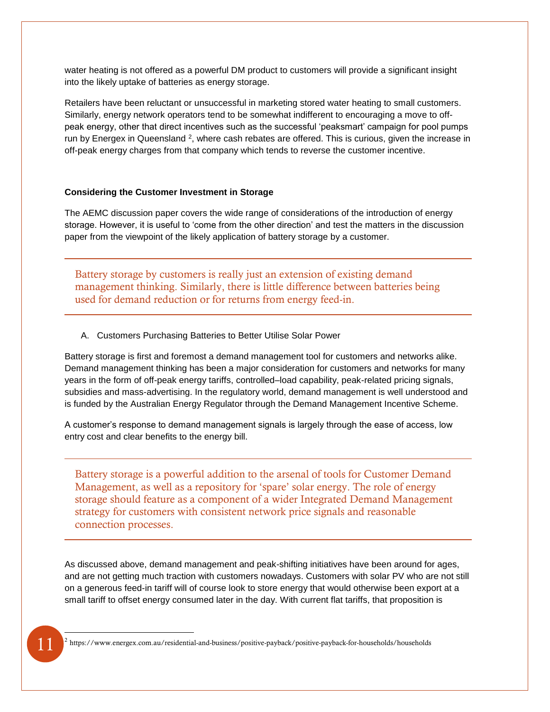water heating is not offered as a powerful DM product to customers will provide a significant insight into the likely uptake of batteries as energy storage.

Retailers have been reluctant or unsuccessful in marketing stored water heating to small customers. Similarly, energy network operators tend to be somewhat indifferent to encouraging a move to offpeak energy, other that direct incentives such as the successful 'peaksmart' campaign for pool pumps run by Energex in Queensland <sup>2</sup>, where cash rebates are offered. This is curious, given the increase in off-peak energy charges from that company which tends to reverse the customer incentive.

#### **Considering the Customer Investment in Storage**

The AEMC discussion paper covers the wide range of considerations of the introduction of energy storage. However, it is useful to 'come from the other direction' and test the matters in the discussion paper from the viewpoint of the likely application of battery storage by a customer.

Battery storage by customers is really just an extension of existing demand management thinking. Similarly, there is little difference between batteries being used for demand reduction or for returns from energy feed-in.

#### A. Customers Purchasing Batteries to Better Utilise Solar Power

Battery storage is first and foremost a demand management tool for customers and networks alike. Demand management thinking has been a major consideration for customers and networks for many years in the form of off-peak energy tariffs, controlled–load capability, peak-related pricing signals, subsidies and mass-advertising. In the regulatory world, demand management is well understood and is funded by the Australian Energy Regulator through the Demand Management Incentive Scheme.

A customer's response to demand management signals is largely through the ease of access, low entry cost and clear benefits to the energy bill.

Battery storage is a powerful addition to the arsenal of tools for Customer Demand Management, as well as a repository for 'spare' solar energy. The role of energy storage should feature as a component of a wider Integrated Demand Management strategy for customers with consistent network price signals and reasonable connection processes.

As discussed above, demand management and peak-shifting initiatives have been around for ages, and are not getting much traction with customers nowadays. Customers with solar PV who are not still on a generous feed-in tariff will of course look to store energy that would otherwise been export at a small tariff to offset energy consumed later in the day. With current flat tariffs, that proposition is

<sup>2</sup> https://www.energex.com.au/residential-and-business/positive-payback/positive-payback-for-households/households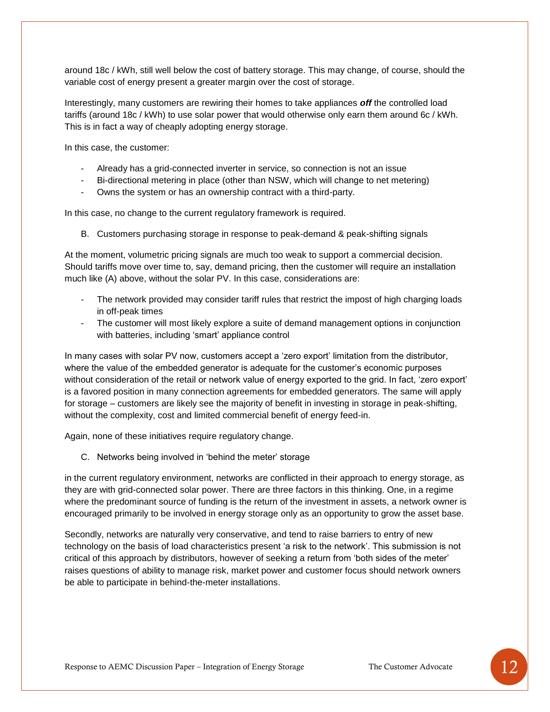around 18c / kWh, still well below the cost of battery storage. This may change, of course, should the variable cost of energy present a greater margin over the cost of storage.

Interestingly, many customers are rewiring their homes to take appliances *off* the controlled load tariffs (around 18c / kWh) to use solar power that would otherwise only earn them around 6c / kWh. This is in fact a way of cheaply adopting energy storage.

In this case, the customer:

- Already has a grid-connected inverter in service, so connection is not an issue
- Bi-directional metering in place (other than NSW, which will change to net metering)
- Owns the system or has an ownership contract with a third-party.

In this case, no change to the current regulatory framework is required.

B. Customers purchasing storage in response to peak-demand & peak-shifting signals

At the moment, volumetric pricing signals are much too weak to support a commercial decision. Should tariffs move over time to, say, demand pricing, then the customer will require an installation much like (A) above, without the solar PV. In this case, considerations are:

- The network provided may consider tariff rules that restrict the impost of high charging loads in off-peak times
- The customer will most likely explore a suite of demand management options in conjunction with batteries, including 'smart' appliance control

In many cases with solar PV now, customers accept a 'zero export' limitation from the distributor, where the value of the embedded generator is adequate for the customer's economic purposes without consideration of the retail or network value of energy exported to the grid. In fact, 'zero export' is a favored position in many connection agreements for embedded generators. The same will apply for storage – customers are likely see the majority of benefit in investing in storage in peak-shifting, without the complexity, cost and limited commercial benefit of energy feed-in.

Again, none of these initiatives require regulatory change.

C. Networks being involved in 'behind the meter' storage

in the current regulatory environment, networks are conflicted in their approach to energy storage, as they are with grid-connected solar power. There are three factors in this thinking. One, in a regime where the predominant source of funding is the return of the investment in assets, a network owner is encouraged primarily to be involved in energy storage only as an opportunity to grow the asset base.

Secondly, networks are naturally very conservative, and tend to raise barriers to entry of new technology on the basis of load characteristics present 'a risk to the network'. This submission is not critical of this approach by distributors, however of seeking a return from 'both sides of the meter' raises questions of ability to manage risk, market power and customer focus should network owners be able to participate in behind-the-meter installations.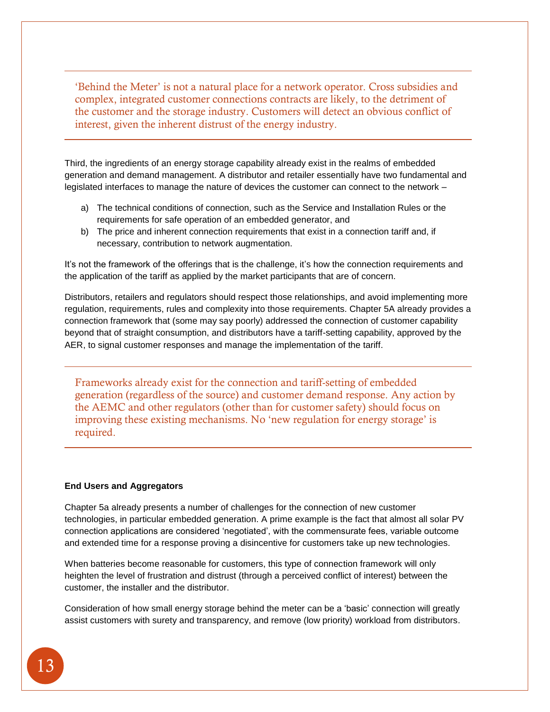'Behind the Meter' is not a natural place for a network operator. Cross subsidies and complex, integrated customer connections contracts are likely, to the detriment of the customer and the storage industry. Customers will detect an obvious conflict of interest, given the inherent distrust of the energy industry.

Third, the ingredients of an energy storage capability already exist in the realms of embedded generation and demand management. A distributor and retailer essentially have two fundamental and legislated interfaces to manage the nature of devices the customer can connect to the network –

- a) The technical conditions of connection, such as the Service and Installation Rules or the requirements for safe operation of an embedded generator, and
- b) The price and inherent connection requirements that exist in a connection tariff and, if necessary, contribution to network augmentation.

It's not the framework of the offerings that is the challenge, it's how the connection requirements and the application of the tariff as applied by the market participants that are of concern.

Distributors, retailers and regulators should respect those relationships, and avoid implementing more regulation, requirements, rules and complexity into those requirements. Chapter 5A already provides a connection framework that (some may say poorly) addressed the connection of customer capability beyond that of straight consumption, and distributors have a tariff-setting capability, approved by the AER, to signal customer responses and manage the implementation of the tariff.

Frameworks already exist for the connection and tariff-setting of embedded generation (regardless of the source) and customer demand response. Any action by the AEMC and other regulators (other than for customer safety) should focus on improving these existing mechanisms. No 'new regulation for energy storage' is required.

#### **End Users and Aggregators**

Chapter 5a already presents a number of challenges for the connection of new customer technologies, in particular embedded generation. A prime example is the fact that almost all solar PV connection applications are considered 'negotiated', with the commensurate fees, variable outcome and extended time for a response proving a disincentive for customers take up new technologies.

When batteries become reasonable for customers, this type of connection framework will only heighten the level of frustration and distrust (through a perceived conflict of interest) between the customer, the installer and the distributor.

Consideration of how small energy storage behind the meter can be a 'basic' connection will greatly assist customers with surety and transparency, and remove (low priority) workload from distributors.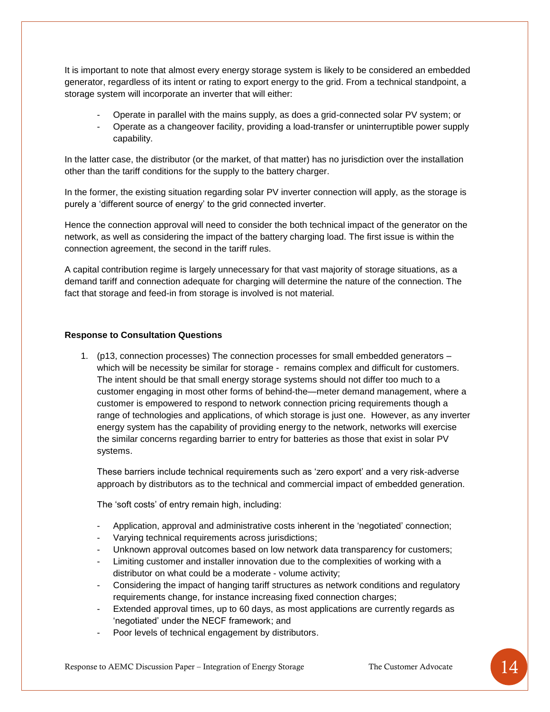It is important to note that almost every energy storage system is likely to be considered an embedded generator, regardless of its intent or rating to export energy to the grid. From a technical standpoint, a storage system will incorporate an inverter that will either:

- Operate in parallel with the mains supply, as does a grid-connected solar PV system; or
- Operate as a changeover facility, providing a load-transfer or uninterruptible power supply capability.

In the latter case, the distributor (or the market, of that matter) has no jurisdiction over the installation other than the tariff conditions for the supply to the battery charger.

In the former, the existing situation regarding solar PV inverter connection will apply, as the storage is purely a 'different source of energy' to the grid connected inverter.

Hence the connection approval will need to consider the both technical impact of the generator on the network, as well as considering the impact of the battery charging load. The first issue is within the connection agreement, the second in the tariff rules.

A capital contribution regime is largely unnecessary for that vast majority of storage situations, as a demand tariff and connection adequate for charging will determine the nature of the connection. The fact that storage and feed-in from storage is involved is not material.

## **Response to Consultation Questions**

1. (p13, connection processes) The connection processes for small embedded generators – which will be necessity be similar for storage - remains complex and difficult for customers. The intent should be that small energy storage systems should not differ too much to a customer engaging in most other forms of behind-the—meter demand management, where a customer is empowered to respond to network connection pricing requirements though a range of technologies and applications, of which storage is just one. However, as any inverter energy system has the capability of providing energy to the network, networks will exercise the similar concerns regarding barrier to entry for batteries as those that exist in solar PV systems.

These barriers include technical requirements such as 'zero export' and a very risk-adverse approach by distributors as to the technical and commercial impact of embedded generation.

The 'soft costs' of entry remain high, including:

- Application, approval and administrative costs inherent in the 'negotiated' connection;
- Varying technical requirements across jurisdictions;
- Unknown approval outcomes based on low network data transparency for customers;
- Limiting customer and installer innovation due to the complexities of working with a distributor on what could be a moderate - volume activity;
- Considering the impact of hanging tariff structures as network conditions and regulatory requirements change, for instance increasing fixed connection charges;
- Extended approval times, up to 60 days, as most applications are currently regards as 'negotiated' under the NECF framework; and
- Poor levels of technical engagement by distributors.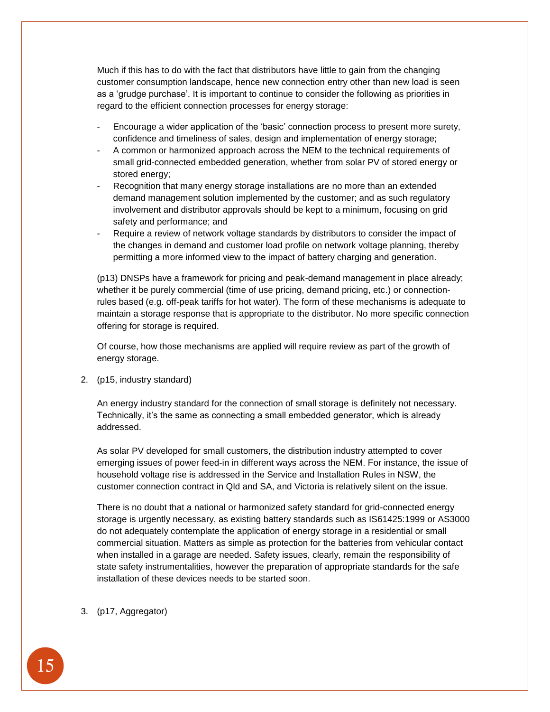Much if this has to do with the fact that distributors have little to gain from the changing customer consumption landscape, hence new connection entry other than new load is seen as a 'grudge purchase'. It is important to continue to consider the following as priorities in regard to the efficient connection processes for energy storage:

- Encourage a wider application of the 'basic' connection process to present more surety, confidence and timeliness of sales, design and implementation of energy storage;
- A common or harmonized approach across the NEM to the technical requirements of small grid-connected embedded generation, whether from solar PV of stored energy or stored energy;
- Recognition that many energy storage installations are no more than an extended demand management solution implemented by the customer; and as such regulatory involvement and distributor approvals should be kept to a minimum, focusing on grid safety and performance; and
- Require a review of network voltage standards by distributors to consider the impact of the changes in demand and customer load profile on network voltage planning, thereby permitting a more informed view to the impact of battery charging and generation.

(p13) DNSPs have a framework for pricing and peak-demand management in place already; whether it be purely commercial (time of use pricing, demand pricing, etc.) or connectionrules based (e.g. off-peak tariffs for hot water). The form of these mechanisms is adequate to maintain a storage response that is appropriate to the distributor. No more specific connection offering for storage is required.

Of course, how those mechanisms are applied will require review as part of the growth of energy storage.

2. (p15, industry standard)

An energy industry standard for the connection of small storage is definitely not necessary. Technically, it's the same as connecting a small embedded generator, which is already addressed.

As solar PV developed for small customers, the distribution industry attempted to cover emerging issues of power feed-in in different ways across the NEM. For instance, the issue of household voltage rise is addressed in the Service and Installation Rules in NSW, the customer connection contract in Qld and SA, and Victoria is relatively silent on the issue.

There is no doubt that a national or harmonized safety standard for grid-connected energy storage is urgently necessary, as existing battery standards such as IS61425:1999 or AS3000 do not adequately contemplate the application of energy storage in a residential or small commercial situation. Matters as simple as protection for the batteries from vehicular contact when installed in a garage are needed. Safety issues, clearly, remain the responsibility of state safety instrumentalities, however the preparation of appropriate standards for the safe installation of these devices needs to be started soon.

3. (p17, Aggregator)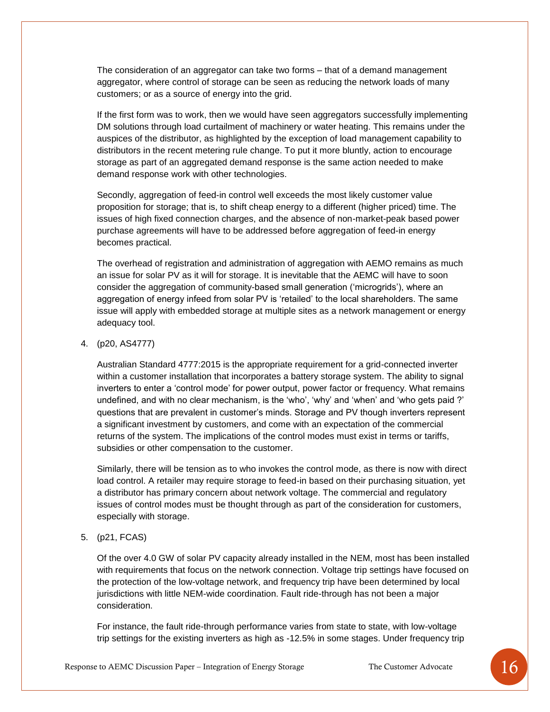The consideration of an aggregator can take two forms – that of a demand management aggregator, where control of storage can be seen as reducing the network loads of many customers; or as a source of energy into the grid.

If the first form was to work, then we would have seen aggregators successfully implementing DM solutions through load curtailment of machinery or water heating. This remains under the auspices of the distributor, as highlighted by the exception of load management capability to distributors in the recent metering rule change. To put it more bluntly, action to encourage storage as part of an aggregated demand response is the same action needed to make demand response work with other technologies.

Secondly, aggregation of feed-in control well exceeds the most likely customer value proposition for storage; that is, to shift cheap energy to a different (higher priced) time. The issues of high fixed connection charges, and the absence of non-market-peak based power purchase agreements will have to be addressed before aggregation of feed-in energy becomes practical.

The overhead of registration and administration of aggregation with AEMO remains as much an issue for solar PV as it will for storage. It is inevitable that the AEMC will have to soon consider the aggregation of community-based small generation ('microgrids'), where an aggregation of energy infeed from solar PV is 'retailed' to the local shareholders. The same issue will apply with embedded storage at multiple sites as a network management or energy adequacy tool.

4. (p20, AS4777)

Australian Standard 4777:2015 is the appropriate requirement for a grid-connected inverter within a customer installation that incorporates a battery storage system. The ability to signal inverters to enter a 'control mode' for power output, power factor or frequency. What remains undefined, and with no clear mechanism, is the 'who', 'why' and 'when' and 'who gets paid ?' questions that are prevalent in customer's minds. Storage and PV though inverters represent a significant investment by customers, and come with an expectation of the commercial returns of the system. The implications of the control modes must exist in terms or tariffs, subsidies or other compensation to the customer.

Similarly, there will be tension as to who invokes the control mode, as there is now with direct load control. A retailer may require storage to feed-in based on their purchasing situation, yet a distributor has primary concern about network voltage. The commercial and regulatory issues of control modes must be thought through as part of the consideration for customers, especially with storage.

5. (p21, FCAS)

Of the over 4.0 GW of solar PV capacity already installed in the NEM, most has been installed with requirements that focus on the network connection. Voltage trip settings have focused on the protection of the low-voltage network, and frequency trip have been determined by local jurisdictions with little NEM-wide coordination. Fault ride-through has not been a major consideration.

For instance, the fault ride-through performance varies from state to state, with low-voltage trip settings for the existing inverters as high as -12.5% in some stages. Under frequency trip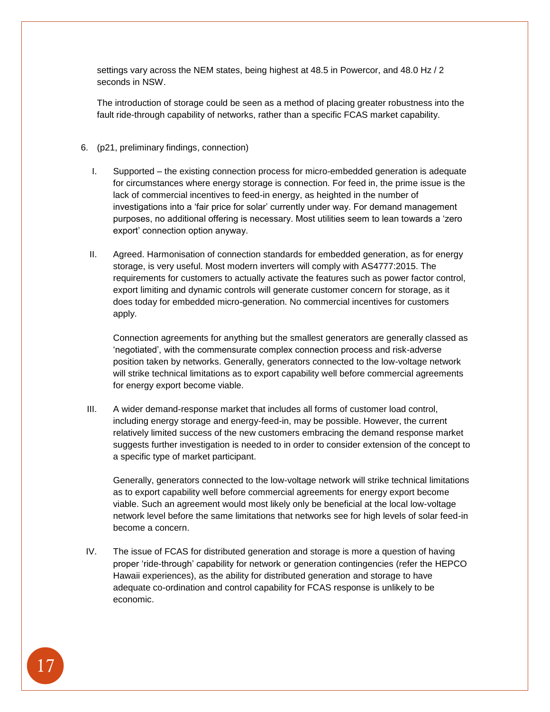settings vary across the NEM states, being highest at 48.5 in Powercor, and 48.0 Hz / 2 seconds in NSW.

The introduction of storage could be seen as a method of placing greater robustness into the fault ride-through capability of networks, rather than a specific FCAS market capability.

- 6. (p21, preliminary findings, connection)
	- I. Supported the existing connection process for micro-embedded generation is adequate for circumstances where energy storage is connection. For feed in, the prime issue is the lack of commercial incentives to feed-in energy, as heighted in the number of investigations into a 'fair price for solar' currently under way. For demand management purposes, no additional offering is necessary. Most utilities seem to lean towards a 'zero export' connection option anyway.
	- II. Agreed. Harmonisation of connection standards for embedded generation, as for energy storage, is very useful. Most modern inverters will comply with AS4777:2015. The requirements for customers to actually activate the features such as power factor control, export limiting and dynamic controls will generate customer concern for storage, as it does today for embedded micro-generation. No commercial incentives for customers apply.

Connection agreements for anything but the smallest generators are generally classed as 'negotiated', with the commensurate complex connection process and risk-adverse position taken by networks. Generally, generators connected to the low-voltage network will strike technical limitations as to export capability well before commercial agreements for energy export become viable.

III. A wider demand-response market that includes all forms of customer load control, including energy storage and energy-feed-in, may be possible. However, the current relatively limited success of the new customers embracing the demand response market suggests further investigation is needed to in order to consider extension of the concept to a specific type of market participant.

Generally, generators connected to the low-voltage network will strike technical limitations as to export capability well before commercial agreements for energy export become viable. Such an agreement would most likely only be beneficial at the local low-voltage network level before the same limitations that networks see for high levels of solar feed-in become a concern.

IV. The issue of FCAS for distributed generation and storage is more a question of having proper 'ride-through' capability for network or generation contingencies (refer the HEPCO Hawaii experiences), as the ability for distributed generation and storage to have adequate co-ordination and control capability for FCAS response is unlikely to be economic.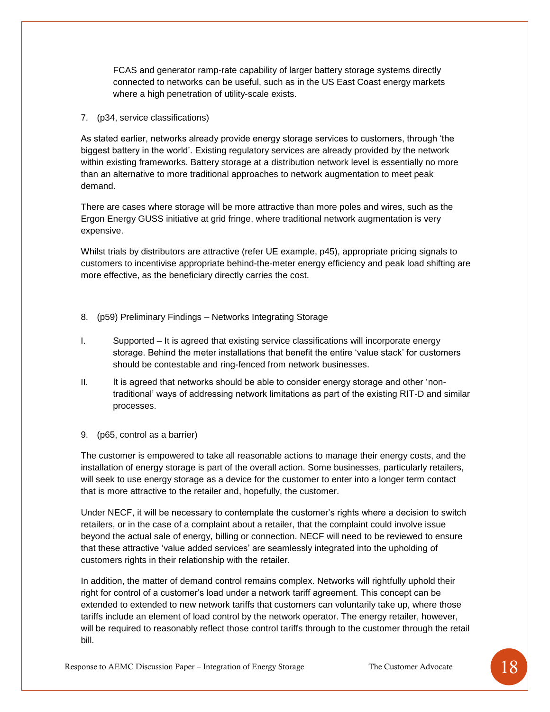FCAS and generator ramp-rate capability of larger battery storage systems directly connected to networks can be useful, such as in the US East Coast energy markets where a high penetration of utility-scale exists.

## 7. (p34, service classifications)

As stated earlier, networks already provide energy storage services to customers, through 'the biggest battery in the world'. Existing regulatory services are already provided by the network within existing frameworks. Battery storage at a distribution network level is essentially no more than an alternative to more traditional approaches to network augmentation to meet peak demand.

There are cases where storage will be more attractive than more poles and wires, such as the Ergon Energy GUSS initiative at grid fringe, where traditional network augmentation is very expensive.

Whilst trials by distributors are attractive (refer UE example, p45), appropriate pricing signals to customers to incentivise appropriate behind-the-meter energy efficiency and peak load shifting are more effective, as the beneficiary directly carries the cost.

- 8. (p59) Preliminary Findings Networks Integrating Storage
- I. Supported It is agreed that existing service classifications will incorporate energy storage. Behind the meter installations that benefit the entire 'value stack' for customers should be contestable and ring-fenced from network businesses.
- II. It is agreed that networks should be able to consider energy storage and other 'nontraditional' ways of addressing network limitations as part of the existing RIT-D and similar processes.
- 9. (p65, control as a barrier)

The customer is empowered to take all reasonable actions to manage their energy costs, and the installation of energy storage is part of the overall action. Some businesses, particularly retailers, will seek to use energy storage as a device for the customer to enter into a longer term contact that is more attractive to the retailer and, hopefully, the customer.

Under NECF, it will be necessary to contemplate the customer's rights where a decision to switch retailers, or in the case of a complaint about a retailer, that the complaint could involve issue beyond the actual sale of energy, billing or connection. NECF will need to be reviewed to ensure that these attractive 'value added services' are seamlessly integrated into the upholding of customers rights in their relationship with the retailer.

In addition, the matter of demand control remains complex. Networks will rightfully uphold their right for control of a customer's load under a network tariff agreement. This concept can be extended to extended to new network tariffs that customers can voluntarily take up, where those tariffs include an element of load control by the network operator. The energy retailer, however, will be required to reasonably reflect those control tariffs through to the customer through the retail bill.

Response to AEMC Discussion Paper – Integration of Energy Storage The Customer Advocate